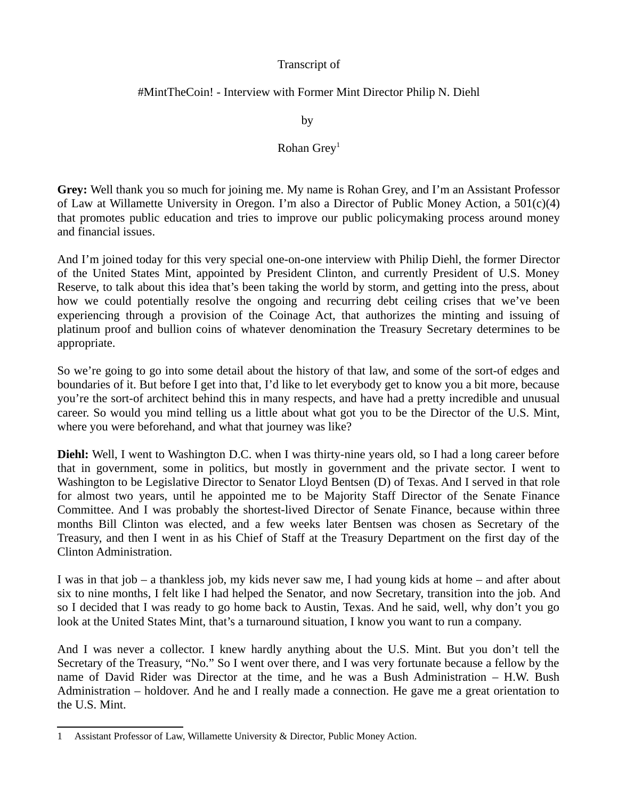### Transcript of

### #MintTheCoin! - Interview with Former Mint Director Philip N. Diehl

by

### Rohan  $Grev<sup>1</sup>$

**Grey:** Well thank you so much for joining me. My name is Rohan Grey, and I'm an Assistant Professor of Law at Willamette University in O[re](#page-0-0)gon. I'm also a Director of Public Money Action, a 501(c)(4) that promotes public education and tries to improve our public policymaking process around money and financial issues.

And I'm joined today for this very special one-on-one interview with Philip Diehl, the former Director of the United States Mint, appointed by President Clinton, and currently President of U.S. Money Reserve, to talk about this idea that's been taking the world by storm, and getting into the press, about how we could potentially resolve the ongoing and recurring debt ceiling crises that we've been experiencing through a provision of the Coinage Act, that authorizes the minting and issuing of platinum proof and bullion coins of whatever denomination the Treasury Secretary determines to be appropriate.

So we're going to go into some detail about the history of that law, and some of the sort-of edges and boundaries of it. But before I get into that, I'd like to let everybody get to know you a bit more, because you're the sort-of architect behind this in many respects, and have had a pretty incredible and unusual career. So would you mind telling us a little about what got you to be the Director of the U.S. Mint, where you were beforehand, and what that journey was like?

**Diehl:** Well, I went to Washington D.C. when I was thirty-nine years old, so I had a long career before that in government, some in politics, but mostly in government and the private sector. I went to Washington to be Legislative Director to Senator Lloyd Bentsen (D) of Texas. And I served in that role for almost two years, until he appointed me to be Majority Staff Director of the Senate Finance Committee. And I was probably the shortest-lived Director of Senate Finance, because within three months Bill Clinton was elected, and a few weeks later Bentsen was chosen as Secretary of the Treasury, and then I went in as his Chief of Staff at the Treasury Department on the first day of the Clinton Administration.

I was in that job – a thankless job, my kids never saw me, I had young kids at home – and after about six to nine months, I felt like I had helped the Senator, and now Secretary, transition into the job. And so I decided that I was ready to go home back to Austin, Texas. And he said, well, why don't you go look at the United States Mint, that's a turnaround situation, I know you want to run a company.

And I was never a collector. I knew hardly anything about the U.S. Mint. But you don't tell the Secretary of the Treasury, "No." So I went over there, and I was very fortunate because a fellow by the name of David Rider was Director at the time, and he was a Bush Administration – H.W. Bush Administration – holdover. And he and I really made a connection. He gave me a great orientation to the U.S. Mint.

<span id="page-0-0"></span><sup>1</sup> Assistant Professor of Law, Willamette University & Director, Public Money Action.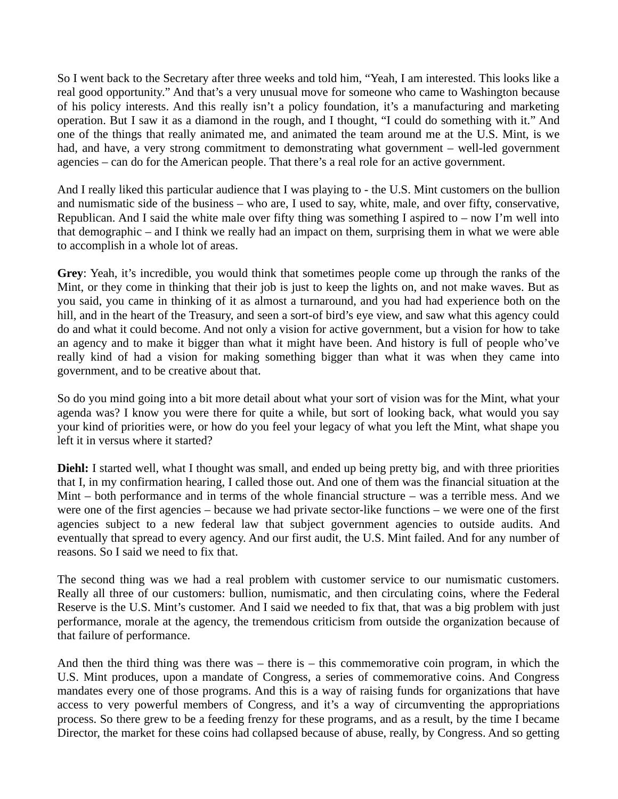So I went back to the Secretary after three weeks and told him, "Yeah, I am interested. This looks like a real good opportunity." And that's a very unusual move for someone who came to Washington because of his policy interests. And this really isn't a policy foundation, it's a manufacturing and marketing operation. But I saw it as a diamond in the rough, and I thought, "I could do something with it." And one of the things that really animated me, and animated the team around me at the U.S. Mint, is we had, and have, a very strong commitment to demonstrating what government – well-led government agencies – can do for the American people. That there's a real role for an active government.

And I really liked this particular audience that I was playing to - the U.S. Mint customers on the bullion and numismatic side of the business – who are, I used to say, white, male, and over fifty, conservative, Republican. And I said the white male over fifty thing was something I aspired to  $-$  now I'm well into that demographic – and I think we really had an impact on them, surprising them in what we were able to accomplish in a whole lot of areas.

**Grey**: Yeah, it's incredible, you would think that sometimes people come up through the ranks of the Mint, or they come in thinking that their job is just to keep the lights on, and not make waves. But as you said, you came in thinking of it as almost a turnaround, and you had had experience both on the hill, and in the heart of the Treasury, and seen a sort-of bird's eye view, and saw what this agency could do and what it could become. And not only a vision for active government, but a vision for how to take an agency and to make it bigger than what it might have been. And history is full of people who've really kind of had a vision for making something bigger than what it was when they came into government, and to be creative about that.

So do you mind going into a bit more detail about what your sort of vision was for the Mint, what your agenda was? I know you were there for quite a while, but sort of looking back, what would you say your kind of priorities were, or how do you feel your legacy of what you left the Mint, what shape you left it in versus where it started?

**Diehl:** I started well, what I thought was small, and ended up being pretty big, and with three priorities that I, in my confirmation hearing, I called those out. And one of them was the financial situation at the Mint – both performance and in terms of the whole financial structure – was a terrible mess. And we were one of the first agencies – because we had private sector-like functions – we were one of the first agencies subject to a new federal law that subject government agencies to outside audits. And eventually that spread to every agency. And our first audit, the U.S. Mint failed. And for any number of reasons. So I said we need to fix that.

The second thing was we had a real problem with customer service to our numismatic customers. Really all three of our customers: bullion, numismatic, and then circulating coins, where the Federal Reserve is the U.S. Mint's customer. And I said we needed to fix that, that was a big problem with just performance, morale at the agency, the tremendous criticism from outside the organization because of that failure of performance.

And then the third thing was there was – there is – this commemorative coin program, in which the U.S. Mint produces, upon a mandate of Congress, a series of commemorative coins. And Congress mandates every one of those programs. And this is a way of raising funds for organizations that have access to very powerful members of Congress, and it's a way of circumventing the appropriations process. So there grew to be a feeding frenzy for these programs, and as a result, by the time I became Director, the market for these coins had collapsed because of abuse, really, by Congress. And so getting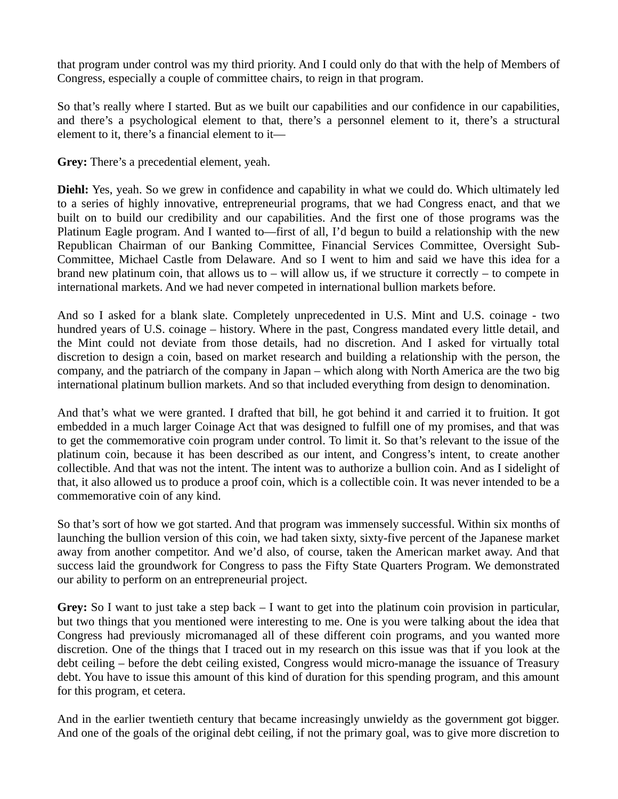that program under control was my third priority. And I could only do that with the help of Members of Congress, especially a couple of committee chairs, to reign in that program.

So that's really where I started. But as we built our capabilities and our confidence in our capabilities, and there's a psychological element to that, there's a personnel element to it, there's a structural element to it, there's a financial element to it—

**Grey:** There's a precedential element, yeah.

**Diehl:** Yes, yeah. So we grew in confidence and capability in what we could do. Which ultimately led to a series of highly innovative, entrepreneurial programs, that we had Congress enact, and that we built on to build our credibility and our capabilities. And the first one of those programs was the Platinum Eagle program. And I wanted to—first of all, I'd begun to build a relationship with the new Republican Chairman of our Banking Committee, Financial Services Committee, Oversight Sub-Committee, Michael Castle from Delaware. And so I went to him and said we have this idea for a brand new platinum coin, that allows us to  $-$  will allow us, if we structure it correctly  $-$  to compete in international markets. And we had never competed in international bullion markets before.

And so I asked for a blank slate. Completely unprecedented in U.S. Mint and U.S. coinage - two hundred years of U.S. coinage – history. Where in the past, Congress mandated every little detail, and the Mint could not deviate from those details, had no discretion. And I asked for virtually total discretion to design a coin, based on market research and building a relationship with the person, the company, and the patriarch of the company in Japan – which along with North America are the two big international platinum bullion markets. And so that included everything from design to denomination.

And that's what we were granted. I drafted that bill, he got behind it and carried it to fruition. It got embedded in a much larger Coinage Act that was designed to fulfill one of my promises, and that was to get the commemorative coin program under control. To limit it. So that's relevant to the issue of the platinum coin, because it has been described as our intent, and Congress's intent, to create another collectible. And that was not the intent. The intent was to authorize a bullion coin. And as I sidelight of that, it also allowed us to produce a proof coin, which is a collectible coin. It was never intended to be a commemorative coin of any kind.

So that's sort of how we got started. And that program was immensely successful. Within six months of launching the bullion version of this coin, we had taken sixty, sixty-five percent of the Japanese market away from another competitor. And we'd also, of course, taken the American market away. And that success laid the groundwork for Congress to pass the Fifty State Quarters Program. We demonstrated our ability to perform on an entrepreneurial project.

**Grey:** So I want to just take a step back – I want to get into the platinum coin provision in particular, but two things that you mentioned were interesting to me. One is you were talking about the idea that Congress had previously micromanaged all of these different coin programs, and you wanted more discretion. One of the things that I traced out in my research on this issue was that if you look at the debt ceiling – before the debt ceiling existed, Congress would micro-manage the issuance of Treasury debt. You have to issue this amount of this kind of duration for this spending program, and this amount for this program, et cetera.

And in the earlier twentieth century that became increasingly unwieldy as the government got bigger. And one of the goals of the original debt ceiling, if not the primary goal, was to give more discretion to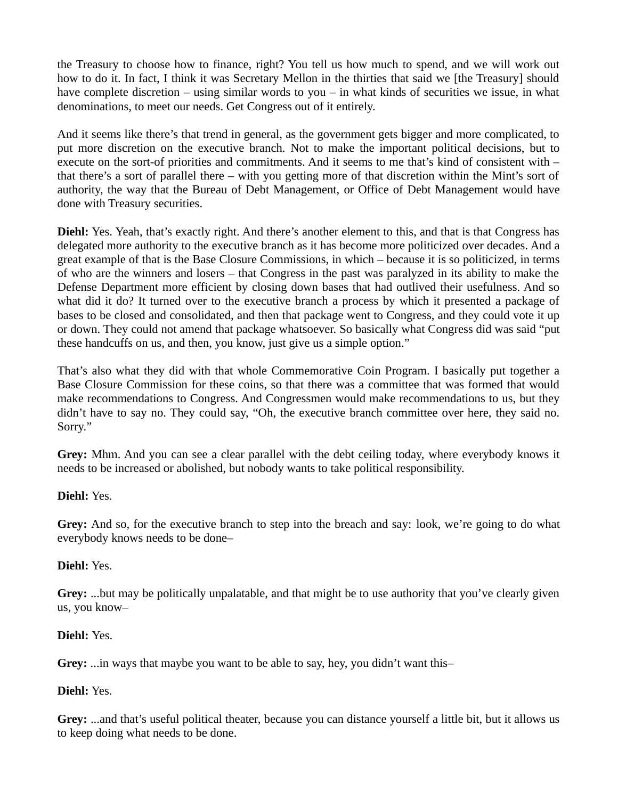the Treasury to choose how to finance, right? You tell us how much to spend, and we will work out how to do it. In fact, I think it was Secretary Mellon in the thirties that said we [the Treasury] should have complete discretion – using similar words to you – in what kinds of securities we issue, in what denominations, to meet our needs. Get Congress out of it entirely.

And it seems like there's that trend in general, as the government gets bigger and more complicated, to put more discretion on the executive branch. Not to make the important political decisions, but to execute on the sort-of priorities and commitments. And it seems to me that's kind of consistent with – that there's a sort of parallel there – with you getting more of that discretion within the Mint's sort of authority, the way that the Bureau of Debt Management, or Office of Debt Management would have done with Treasury securities.

**Diehl:** Yes. Yeah, that's exactly right. And there's another element to this, and that is that Congress has delegated more authority to the executive branch as it has become more politicized over decades. And a great example of that is the Base Closure Commissions, in which – because it is so politicized, in terms of who are the winners and losers – that Congress in the past was paralyzed in its ability to make the Defense Department more efficient by closing down bases that had outlived their usefulness. And so what did it do? It turned over to the executive branch a process by which it presented a package of bases to be closed and consolidated, and then that package went to Congress, and they could vote it up or down. They could not amend that package whatsoever. So basically what Congress did was said "put these handcuffs on us, and then, you know, just give us a simple option."

That's also what they did with that whole Commemorative Coin Program. I basically put together a Base Closure Commission for these coins, so that there was a committee that was formed that would make recommendations to Congress. And Congressmen would make recommendations to us, but they didn't have to say no. They could say, "Oh, the executive branch committee over here, they said no. Sorry."

**Grey:** Mhm. And you can see a clear parallel with the debt ceiling today, where everybody knows it needs to be increased or abolished, but nobody wants to take political responsibility.

#### **Diehl:** Yes.

**Grey:** And so, for the executive branch to step into the breach and say: look, we're going to do what everybody knows needs to be done–

#### **Diehl:** Yes.

**Grey:** ...but may be politically unpalatable, and that might be to use authority that you've clearly given us, you know–

#### **Diehl:** Yes.

**Grey:** ...in ways that maybe you want to be able to say, hey, you didn't want this–

# **Diehl:** Yes.

**Grey:** ...and that's useful political theater, because you can distance yourself a little bit, but it allows us to keep doing what needs to be done.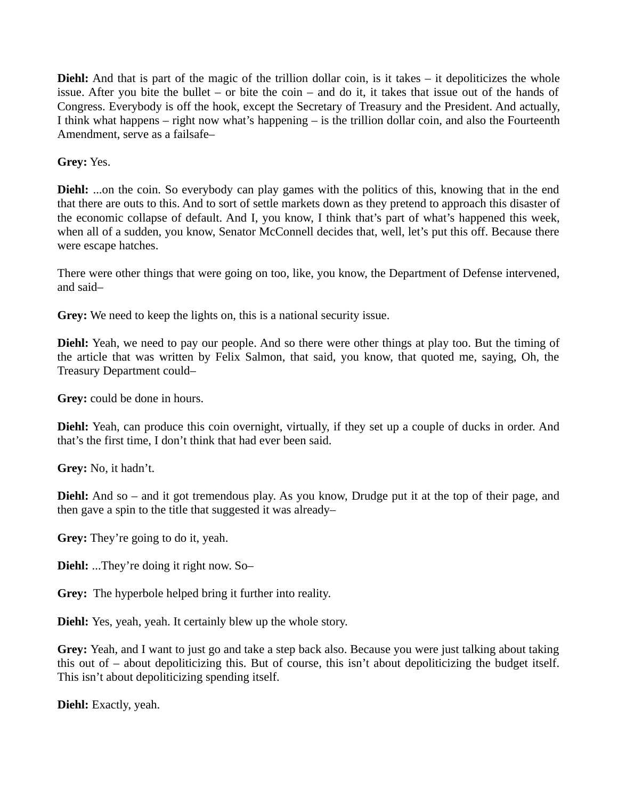**Diehl:** And that is part of the magic of the trillion dollar coin, is it takes – it depoliticizes the whole issue. After you bite the bullet – or bite the coin – and do it, it takes that issue out of the hands of Congress. Everybody is off the hook, except the Secretary of Treasury and the President. And actually, I think what happens – right now what's happening – is the trillion dollar coin, and also the Fourteenth Amendment, serve as a failsafe–

**Grey:** Yes.

**Diehl:** ...on the coin. So everybody can play games with the politics of this, knowing that in the end that there are outs to this. And to sort of settle markets down as they pretend to approach this disaster of the economic collapse of default. And I, you know, I think that's part of what's happened this week, when all of a sudden, you know, Senator McConnell decides that, well, let's put this off. Because there were escape hatches.

There were other things that were going on too, like, you know, the Department of Defense intervened, and said–

**Grey:** We need to keep the lights on, this is a national security issue.

**Diehl:** Yeah, we need to pay our people. And so there were other things at play too. But the timing of the article that was written by Felix Salmon, that said, you know, that quoted me, saying, Oh, the Treasury Department could–

**Grey:** could be done in hours.

**Diehl:** Yeah, can produce this coin overnight, virtually, if they set up a couple of ducks in order. And that's the first time, I don't think that had ever been said.

**Grey:** No, it hadn't.

**Diehl:** And so – and it got tremendous play. As you know, Drudge put it at the top of their page, and then gave a spin to the title that suggested it was already–

**Grey:** They're going to do it, yeah.

**Diehl:** ...They're doing it right now. So–

**Grey:** The hyperbole helped bring it further into reality.

**Diehl:** Yes, yeah, yeah. It certainly blew up the whole story.

**Grey:** Yeah, and I want to just go and take a step back also. Because you were just talking about taking this out of – about depoliticizing this. But of course, this isn't about depoliticizing the budget itself. This isn't about depoliticizing spending itself.

**Diehl:** Exactly, yeah.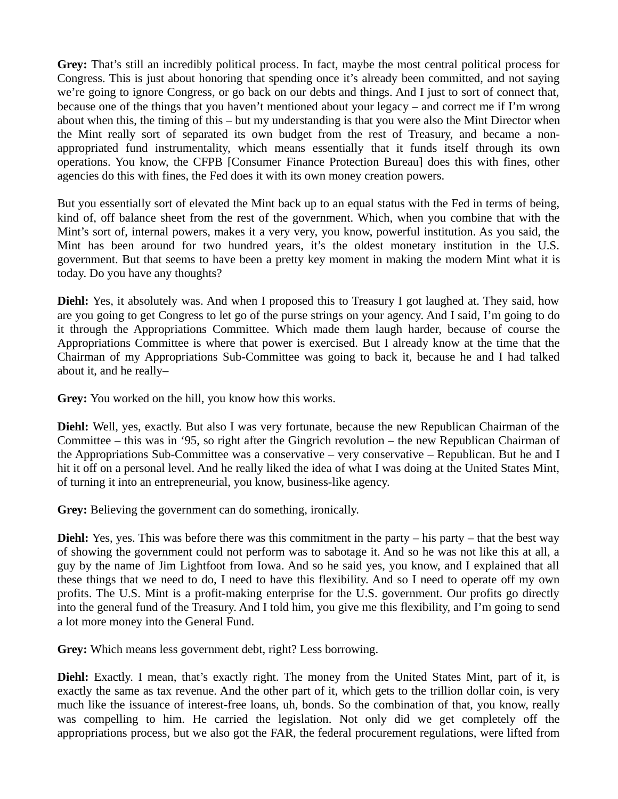**Grey:** That's still an incredibly political process. In fact, maybe the most central political process for Congress. This is just about honoring that spending once it's already been committed, and not saying we're going to ignore Congress, or go back on our debts and things. And I just to sort of connect that, because one of the things that you haven't mentioned about your legacy – and correct me if I'm wrong about when this, the timing of this – but my understanding is that you were also the Mint Director when the Mint really sort of separated its own budget from the rest of Treasury, and became a nonappropriated fund instrumentality, which means essentially that it funds itself through its own operations. You know, the CFPB [Consumer Finance Protection Bureau] does this with fines, other agencies do this with fines, the Fed does it with its own money creation powers.

But you essentially sort of elevated the Mint back up to an equal status with the Fed in terms of being, kind of, off balance sheet from the rest of the government. Which, when you combine that with the Mint's sort of, internal powers, makes it a very very, you know, powerful institution. As you said, the Mint has been around for two hundred years, it's the oldest monetary institution in the U.S. government. But that seems to have been a pretty key moment in making the modern Mint what it is today. Do you have any thoughts?

**Diehl:** Yes, it absolutely was. And when I proposed this to Treasury I got laughed at. They said, how are you going to get Congress to let go of the purse strings on your agency. And I said, I'm going to do it through the Appropriations Committee. Which made them laugh harder, because of course the Appropriations Committee is where that power is exercised. But I already know at the time that the Chairman of my Appropriations Sub-Committee was going to back it, because he and I had talked about it, and he really–

**Grey:** You worked on the hill, you know how this works.

**Diehl:** Well, yes, exactly. But also I was very fortunate, because the new Republican Chairman of the Committee – this was in '95, so right after the Gingrich revolution – the new Republican Chairman of the Appropriations Sub-Committee was a conservative – very conservative – Republican. But he and I hit it off on a personal level. And he really liked the idea of what I was doing at the United States Mint, of turning it into an entrepreneurial, you know, business-like agency.

**Grey:** Believing the government can do something, ironically.

**Diehl:** Yes, yes. This was before there was this commitment in the party – his party – that the best way of showing the government could not perform was to sabotage it. And so he was not like this at all, a guy by the name of Jim Lightfoot from Iowa. And so he said yes, you know, and I explained that all these things that we need to do, I need to have this flexibility. And so I need to operate off my own profits. The U.S. Mint is a profit-making enterprise for the U.S. government. Our profits go directly into the general fund of the Treasury. And I told him, you give me this flexibility, and I'm going to send a lot more money into the General Fund.

**Grey:** Which means less government debt, right? Less borrowing.

**Diehl:** Exactly. I mean, that's exactly right. The money from the United States Mint, part of it, is exactly the same as tax revenue. And the other part of it, which gets to the trillion dollar coin, is very much like the issuance of interest-free loans, uh, bonds. So the combination of that, you know, really was compelling to him. He carried the legislation. Not only did we get completely off the appropriations process, but we also got the FAR, the federal procurement regulations, were lifted from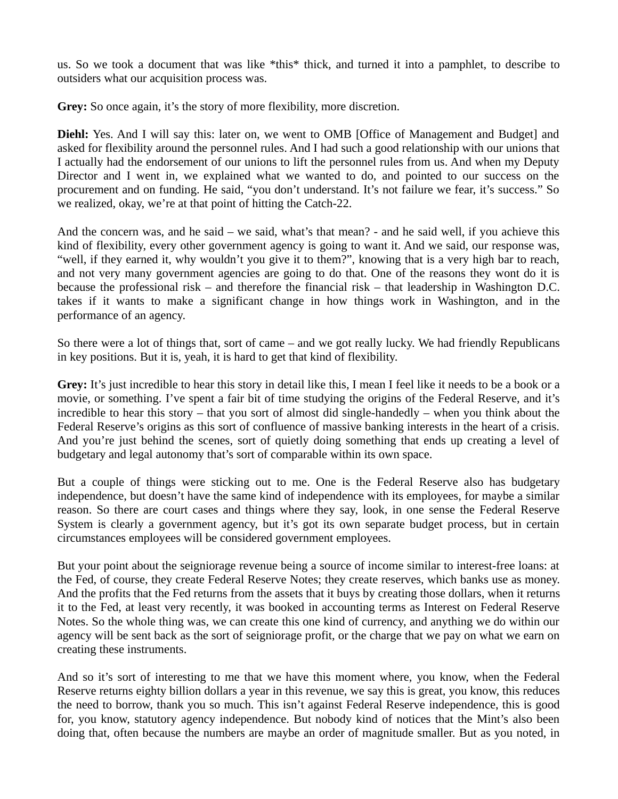us. So we took a document that was like \*this\* thick, and turned it into a pamphlet, to describe to outsiders what our acquisition process was.

Grey: So once again, it's the story of more flexibility, more discretion.

**Diehl:** Yes. And I will say this: later on, we went to OMB [Office of Management and Budget] and asked for flexibility around the personnel rules. And I had such a good relationship with our unions that I actually had the endorsement of our unions to lift the personnel rules from us. And when my Deputy Director and I went in, we explained what we wanted to do, and pointed to our success on the procurement and on funding. He said, "you don't understand. It's not failure we fear, it's success." So we realized, okay, we're at that point of hitting the Catch-22.

And the concern was, and he said – we said, what's that mean? - and he said well, if you achieve this kind of flexibility, every other government agency is going to want it. And we said, our response was, "well, if they earned it, why wouldn't you give it to them?", knowing that is a very high bar to reach, and not very many government agencies are going to do that. One of the reasons they wont do it is because the professional risk – and therefore the financial risk – that leadership in Washington D.C. takes if it wants to make a significant change in how things work in Washington, and in the performance of an agency.

So there were a lot of things that, sort of came – and we got really lucky. We had friendly Republicans in key positions. But it is, yeah, it is hard to get that kind of flexibility.

**Grey:** It's just incredible to hear this story in detail like this, I mean I feel like it needs to be a book or a movie, or something. I've spent a fair bit of time studying the origins of the Federal Reserve, and it's incredible to hear this story – that you sort of almost did single-handedly – when you think about the Federal Reserve's origins as this sort of confluence of massive banking interests in the heart of a crisis. And you're just behind the scenes, sort of quietly doing something that ends up creating a level of budgetary and legal autonomy that's sort of comparable within its own space.

But a couple of things were sticking out to me. One is the Federal Reserve also has budgetary independence, but doesn't have the same kind of independence with its employees, for maybe a similar reason. So there are court cases and things where they say, look, in one sense the Federal Reserve System is clearly a government agency, but it's got its own separate budget process, but in certain circumstances employees will be considered government employees.

But your point about the seigniorage revenue being a source of income similar to interest-free loans: at the Fed, of course, they create Federal Reserve Notes; they create reserves, which banks use as money. And the profits that the Fed returns from the assets that it buys by creating those dollars, when it returns it to the Fed, at least very recently, it was booked in accounting terms as Interest on Federal Reserve Notes. So the whole thing was, we can create this one kind of currency, and anything we do within our agency will be sent back as the sort of seigniorage profit, or the charge that we pay on what we earn on creating these instruments.

And so it's sort of interesting to me that we have this moment where, you know, when the Federal Reserve returns eighty billion dollars a year in this revenue, we say this is great, you know, this reduces the need to borrow, thank you so much. This isn't against Federal Reserve independence, this is good for, you know, statutory agency independence. But nobody kind of notices that the Mint's also been doing that, often because the numbers are maybe an order of magnitude smaller. But as you noted, in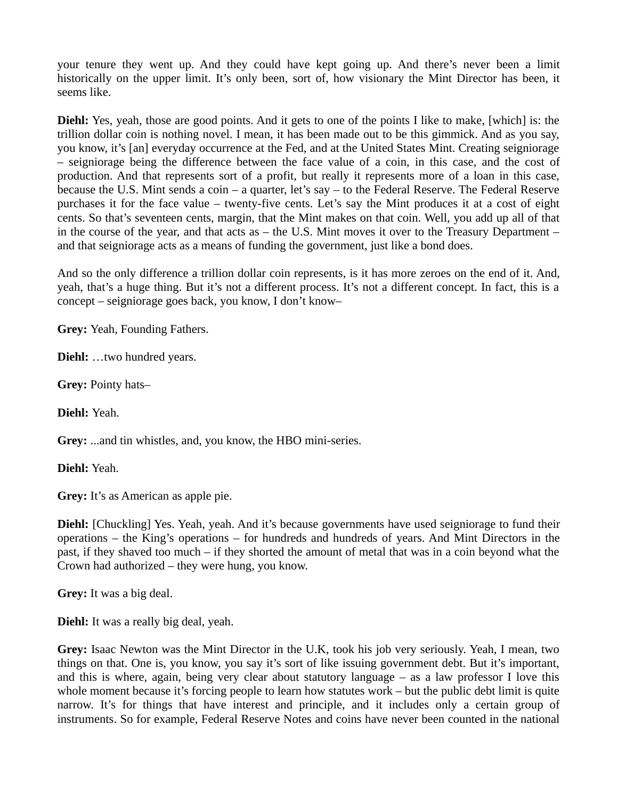your tenure they went up. And they could have kept going up. And there's never been a limit historically on the upper limit. It's only been, sort of, how visionary the Mint Director has been, it seems like.

**Diehl:** Yes, yeah, those are good points. And it gets to one of the points I like to make, [which] is: the trillion dollar coin is nothing novel. I mean, it has been made out to be this gimmick. And as you say, you know, it's [an] everyday occurrence at the Fed, and at the United States Mint. Creating seigniorage – seigniorage being the difference between the face value of a coin, in this case, and the cost of production. And that represents sort of a profit, but really it represents more of a loan in this case, because the U.S. Mint sends a coin – a quarter, let's say – to the Federal Reserve. The Federal Reserve purchases it for the face value – twenty-five cents. Let's say the Mint produces it at a cost of eight cents. So that's seventeen cents, margin, that the Mint makes on that coin. Well, you add up all of that in the course of the year, and that acts as – the U.S. Mint moves it over to the Treasury Department – and that seigniorage acts as a means of funding the government, just like a bond does.

And so the only difference a trillion dollar coin represents, is it has more zeroes on the end of it. And, yeah, that's a huge thing. But it's not a different process. It's not a different concept. In fact, this is a concept – seigniorage goes back, you know, I don't know–

**Grey:** Yeah, Founding Fathers.

**Diehl:** …two hundred years.

**Grey:** Pointy hats–

**Diehl:** Yeah.

**Grey:** ...and tin whistles, and, you know, the HBO mini-series.

**Diehl:** Yeah.

**Grey:** It's as American as apple pie.

**Diehl:** [Chuckling] Yes. Yeah, yeah. And it's because governments have used seigniorage to fund their operations – the King's operations – for hundreds and hundreds of years. And Mint Directors in the past, if they shaved too much – if they shorted the amount of metal that was in a coin beyond what the Crown had authorized – they were hung, you know.

**Grey:** It was a big deal.

**Diehl:** It was a really big deal, yeah.

**Grey:** Isaac Newton was the Mint Director in the U.K, took his job very seriously. Yeah, I mean, two things on that. One is, you know, you say it's sort of like issuing government debt. But it's important, and this is where, again, being very clear about statutory language – as a law professor I love this whole moment because it's forcing people to learn how statutes work – but the public debt limit is quite narrow. It's for things that have interest and principle, and it includes only a certain group of instruments. So for example, Federal Reserve Notes and coins have never been counted in the national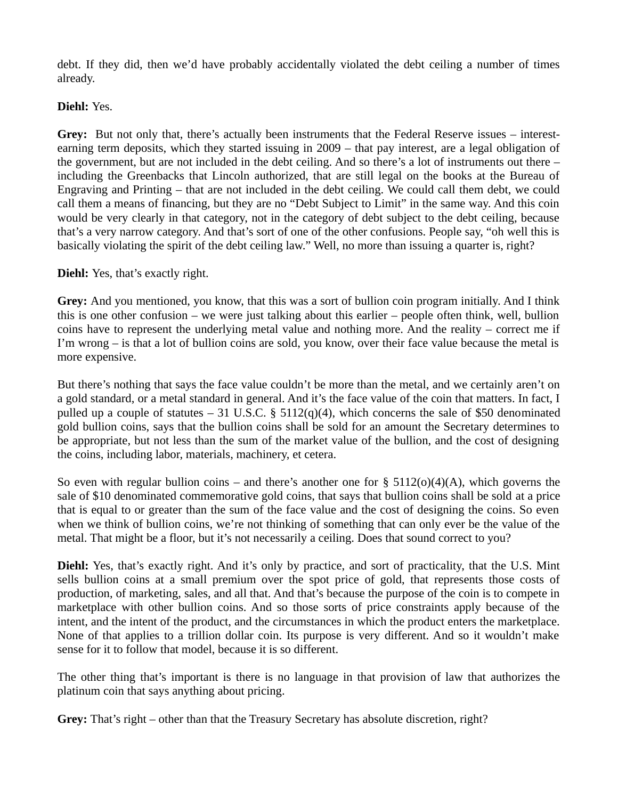debt. If they did, then we'd have probably accidentally violated the debt ceiling a number of times already.

### **Diehl:** Yes.

**Grey:** But not only that, there's actually been instruments that the Federal Reserve issues – interestearning term deposits, which they started issuing in 2009 – that pay interest, are a legal obligation of the government, but are not included in the debt ceiling. And so there's a lot of instruments out there – including the Greenbacks that Lincoln authorized, that are still legal on the books at the Bureau of Engraving and Printing – that are not included in the debt ceiling. We could call them debt, we could call them a means of financing, but they are no "Debt Subject to Limit" in the same way. And this coin would be very clearly in that category, not in the category of debt subject to the debt ceiling, because that's a very narrow category. And that's sort of one of the other confusions. People say, "oh well this is basically violating the spirit of the debt ceiling law." Well, no more than issuing a quarter is, right?

### **Diehl:** Yes, that's exactly right.

**Grey:** And you mentioned, you know, that this was a sort of bullion coin program initially. And I think this is one other confusion – we were just talking about this earlier – people often think, well, bullion coins have to represent the underlying metal value and nothing more. And the reality – correct me if I'm wrong – is that a lot of bullion coins are sold, you know, over their face value because the metal is more expensive.

But there's nothing that says the face value couldn't be more than the metal, and we certainly aren't on a gold standard, or a metal standard in general. And it's the face value of the coin that matters. In fact, I pulled up a couple of statutes  $-31$  U.S.C. § 5112(q)(4), which concerns the sale of \$50 denominated gold bullion coins, says that the bullion coins shall be sold for an amount the Secretary determines to be appropriate, but not less than the sum of the market value of the bullion, and the cost of designing the coins, including labor, materials, machinery, et cetera.

So even with regular bullion coins – and there's another one for  $\S$  5112(o)(4)(A), which governs the sale of \$10 denominated commemorative gold coins, that says that bullion coins shall be sold at a price that is equal to or greater than the sum of the face value and the cost of designing the coins. So even when we think of bullion coins, we're not thinking of something that can only ever be the value of the metal. That might be a floor, but it's not necessarily a ceiling. Does that sound correct to you?

Diehl: Yes, that's exactly right. And it's only by practice, and sort of practicality, that the U.S. Mint sells bullion coins at a small premium over the spot price of gold, that represents those costs of production, of marketing, sales, and all that. And that's because the purpose of the coin is to compete in marketplace with other bullion coins. And so those sorts of price constraints apply because of the intent, and the intent of the product, and the circumstances in which the product enters the marketplace. None of that applies to a trillion dollar coin. Its purpose is very different. And so it wouldn't make sense for it to follow that model, because it is so different.

The other thing that's important is there is no language in that provision of law that authorizes the platinum coin that says anything about pricing.

**Grey:** That's right – other than that the Treasury Secretary has absolute discretion, right?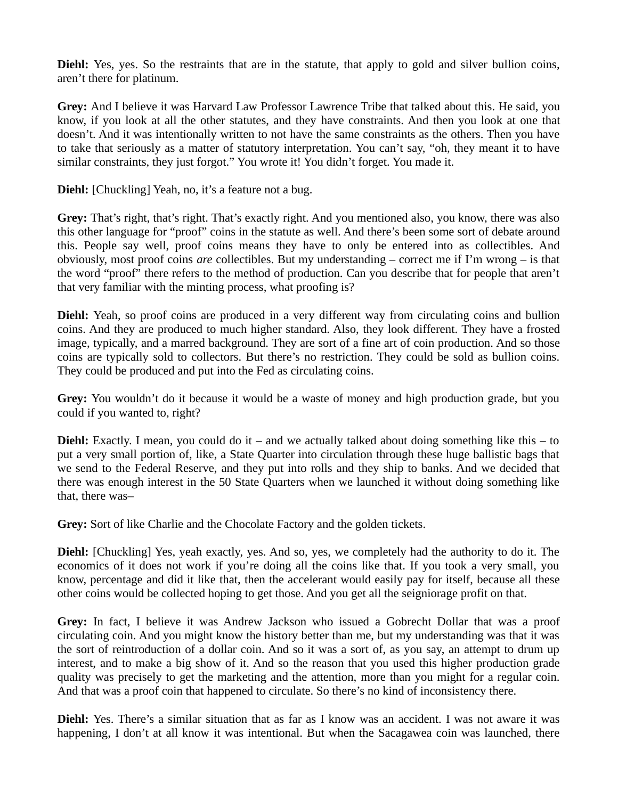**Diehl:** Yes, yes. So the restraints that are in the statute, that apply to gold and silver bullion coins, aren't there for platinum.

**Grey:** And I believe it was Harvard Law Professor Lawrence Tribe that talked about this. He said, you know, if you look at all the other statutes, and they have constraints. And then you look at one that doesn't. And it was intentionally written to not have the same constraints as the others. Then you have to take that seriously as a matter of statutory interpretation. You can't say, "oh, they meant it to have similar constraints, they just forgot." You wrote it! You didn't forget. You made it.

**Diehl:** [Chuckling] Yeah, no, it's a feature not a bug.

**Grey:** That's right, that's right. That's exactly right. And you mentioned also, you know, there was also this other language for "proof" coins in the statute as well. And there's been some sort of debate around this. People say well, proof coins means they have to only be entered into as collectibles. And obviously, most proof coins *are* collectibles. But my understanding – correct me if I'm wrong – is that the word "proof" there refers to the method of production. Can you describe that for people that aren't that very familiar with the minting process, what proofing is?

**Diehl:** Yeah, so proof coins are produced in a very different way from circulating coins and bullion coins. And they are produced to much higher standard. Also, they look different. They have a frosted image, typically, and a marred background. They are sort of a fine art of coin production. And so those coins are typically sold to collectors. But there's no restriction. They could be sold as bullion coins. They could be produced and put into the Fed as circulating coins.

**Grey:** You wouldn't do it because it would be a waste of money and high production grade, but you could if you wanted to, right?

**Diehl:** Exactly. I mean, you could do it – and we actually talked about doing something like this – to put a very small portion of, like, a State Quarter into circulation through these huge ballistic bags that we send to the Federal Reserve, and they put into rolls and they ship to banks. And we decided that there was enough interest in the 50 State Quarters when we launched it without doing something like that, there was–

**Grey:** Sort of like Charlie and the Chocolate Factory and the golden tickets.

**Diehl:** [Chuckling] Yes, yeah exactly, yes. And so, yes, we completely had the authority to do it. The economics of it does not work if you're doing all the coins like that. If you took a very small, you know, percentage and did it like that, then the accelerant would easily pay for itself, because all these other coins would be collected hoping to get those. And you get all the seigniorage profit on that.

**Grey:** In fact, I believe it was Andrew Jackson who issued a Gobrecht Dollar that was a proof circulating coin. And you might know the history better than me, but my understanding was that it was the sort of reintroduction of a dollar coin. And so it was a sort of, as you say, an attempt to drum up interest, and to make a big show of it. And so the reason that you used this higher production grade quality was precisely to get the marketing and the attention, more than you might for a regular coin. And that was a proof coin that happened to circulate. So there's no kind of inconsistency there.

**Diehl:** Yes. There's a similar situation that as far as I know was an accident. I was not aware it was happening, I don't at all know it was intentional. But when the Sacagawea coin was launched, there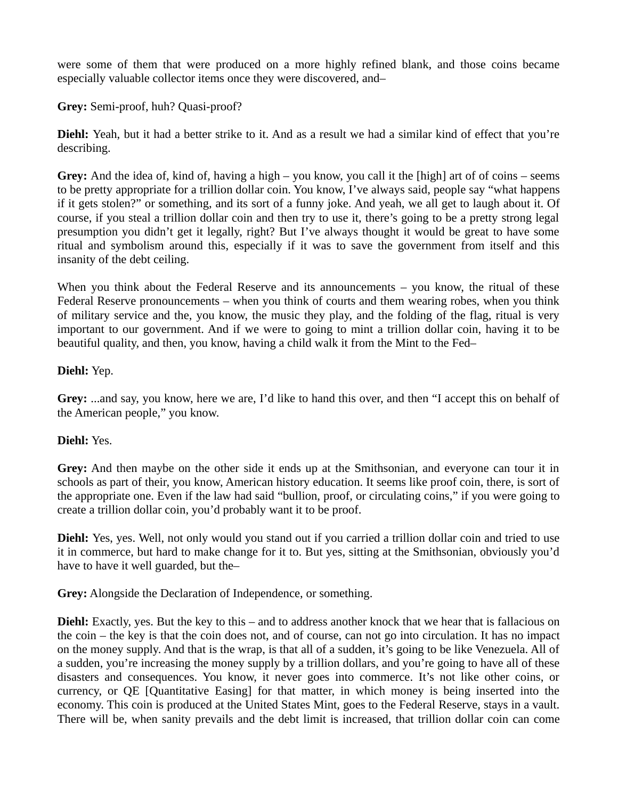were some of them that were produced on a more highly refined blank, and those coins became especially valuable collector items once they were discovered, and–

**Grey:** Semi-proof, huh? Quasi-proof?

**Diehl:** Yeah, but it had a better strike to it. And as a result we had a similar kind of effect that you're describing.

**Grey:** And the idea of, kind of, having a high – you know, you call it the [high] art of of coins – seems to be pretty appropriate for a trillion dollar coin. You know, I've always said, people say "what happens if it gets stolen?" or something, and its sort of a funny joke. And yeah, we all get to laugh about it. Of course, if you steal a trillion dollar coin and then try to use it, there's going to be a pretty strong legal presumption you didn't get it legally, right? But I've always thought it would be great to have some ritual and symbolism around this, especially if it was to save the government from itself and this insanity of the debt ceiling.

When you think about the Federal Reserve and its announcements – you know, the ritual of these Federal Reserve pronouncements – when you think of courts and them wearing robes, when you think of military service and the, you know, the music they play, and the folding of the flag, ritual is very important to our government. And if we were to going to mint a trillion dollar coin, having it to be beautiful quality, and then, you know, having a child walk it from the Mint to the Fed–

# **Diehl:** Yep.

**Grey:** ...and say, you know, here we are, I'd like to hand this over, and then "I accept this on behalf of the American people," you know.

# **Diehl:** Yes.

**Grey:** And then maybe on the other side it ends up at the Smithsonian, and everyone can tour it in schools as part of their, you know, American history education. It seems like proof coin, there, is sort of the appropriate one. Even if the law had said "bullion, proof, or circulating coins," if you were going to create a trillion dollar coin, you'd probably want it to be proof.

**Diehl:** Yes, yes. Well, not only would you stand out if you carried a trillion dollar coin and tried to use it in commerce, but hard to make change for it to. But yes, sitting at the Smithsonian, obviously you'd have to have it well guarded, but the–

**Grey:** Alongside the Declaration of Independence, or something.

**Diehl:** Exactly, yes. But the key to this – and to address another knock that we hear that is fallacious on the coin – the key is that the coin does not, and of course, can not go into circulation. It has no impact on the money supply. And that is the wrap, is that all of a sudden, it's going to be like Venezuela. All of a sudden, you're increasing the money supply by a trillion dollars, and you're going to have all of these disasters and consequences. You know, it never goes into commerce. It's not like other coins, or currency, or QE [Quantitative Easing] for that matter, in which money is being inserted into the economy. This coin is produced at the United States Mint, goes to the Federal Reserve, stays in a vault. There will be, when sanity prevails and the debt limit is increased, that trillion dollar coin can come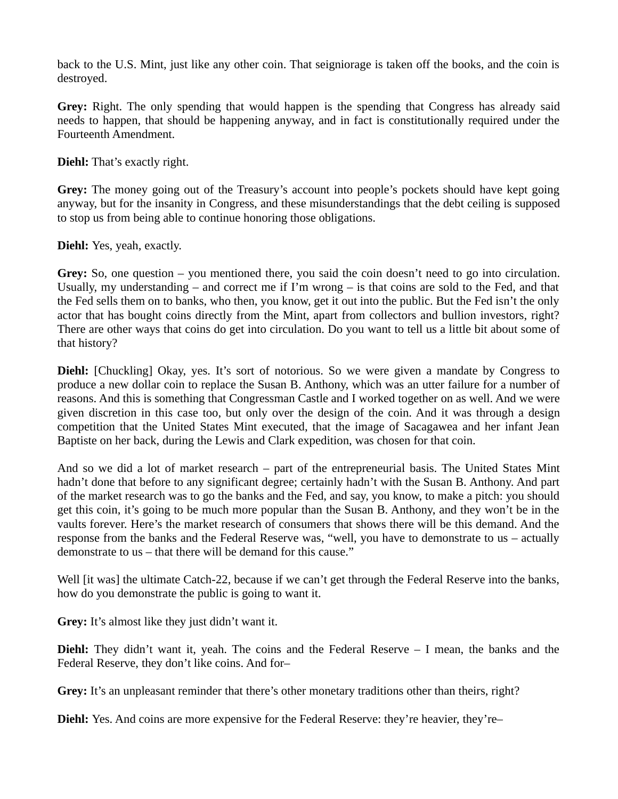back to the U.S. Mint, just like any other coin. That seigniorage is taken off the books, and the coin is destroyed.

**Grey:** Right. The only spending that would happen is the spending that Congress has already said needs to happen, that should be happening anyway, and in fact is constitutionally required under the Fourteenth Amendment.

**Diehl:** That's exactly right.

**Grey:** The money going out of the Treasury's account into people's pockets should have kept going anyway, but for the insanity in Congress, and these misunderstandings that the debt ceiling is supposed to stop us from being able to continue honoring those obligations.

**Diehl:** Yes, yeah, exactly.

Grey: So, one question – you mentioned there, you said the coin doesn't need to go into circulation. Usually, my understanding – and correct me if I'm wrong – is that coins are sold to the Fed, and that the Fed sells them on to banks, who then, you know, get it out into the public. But the Fed isn't the only actor that has bought coins directly from the Mint, apart from collectors and bullion investors, right? There are other ways that coins do get into circulation. Do you want to tell us a little bit about some of that history?

**Diehl:** [Chuckling] Okay, yes. It's sort of notorious. So we were given a mandate by Congress to produce a new dollar coin to replace the Susan B. Anthony, which was an utter failure for a number of reasons. And this is something that Congressman Castle and I worked together on as well. And we were given discretion in this case too, but only over the design of the coin. And it was through a design competition that the United States Mint executed, that the image of Sacagawea and her infant Jean Baptiste on her back, during the Lewis and Clark expedition, was chosen for that coin.

And so we did a lot of market research – part of the entrepreneurial basis. The United States Mint hadn't done that before to any significant degree; certainly hadn't with the Susan B. Anthony. And part of the market research was to go the banks and the Fed, and say, you know, to make a pitch: you should get this coin, it's going to be much more popular than the Susan B. Anthony, and they won't be in the vaults forever. Here's the market research of consumers that shows there will be this demand. And the response from the banks and the Federal Reserve was, "well, you have to demonstrate to us – actually demonstrate to us – that there will be demand for this cause."

Well [it was] the ultimate Catch-22, because if we can't get through the Federal Reserve into the banks, how do you demonstrate the public is going to want it.

**Grey:** It's almost like they just didn't want it.

**Diehl:** They didn't want it, yeah. The coins and the Federal Reserve – I mean, the banks and the Federal Reserve, they don't like coins. And for–

Grey: It's an unpleasant reminder that there's other monetary traditions other than theirs, right?

**Diehl:** Yes. And coins are more expensive for the Federal Reserve: they're heavier, they're–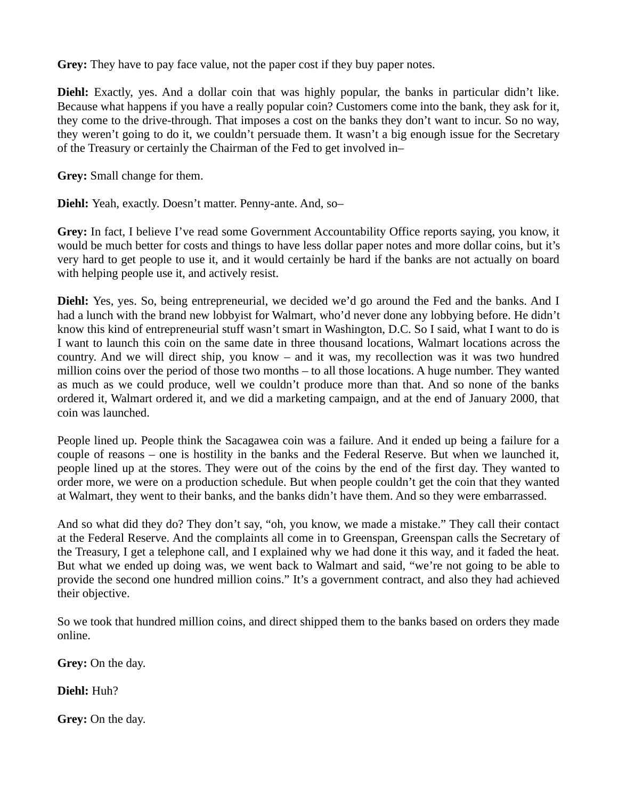**Grey:** They have to pay face value, not the paper cost if they buy paper notes.

**Diehl:** Exactly, yes. And a dollar coin that was highly popular, the banks in particular didn't like. Because what happens if you have a really popular coin? Customers come into the bank, they ask for it, they come to the drive-through. That imposes a cost on the banks they don't want to incur. So no way, they weren't going to do it, we couldn't persuade them. It wasn't a big enough issue for the Secretary of the Treasury or certainly the Chairman of the Fed to get involved in–

**Grey:** Small change for them.

**Diehl:** Yeah, exactly. Doesn't matter. Penny-ante. And, so–

**Grey:** In fact, I believe I've read some Government Accountability Office reports saying, you know, it would be much better for costs and things to have less dollar paper notes and more dollar coins, but it's very hard to get people to use it, and it would certainly be hard if the banks are not actually on board with helping people use it, and actively resist.

**Diehl:** Yes, yes. So, being entrepreneurial, we decided we'd go around the Fed and the banks. And I had a lunch with the brand new lobbyist for Walmart, who'd never done any lobbying before. He didn't know this kind of entrepreneurial stuff wasn't smart in Washington, D.C. So I said, what I want to do is I want to launch this coin on the same date in three thousand locations, Walmart locations across the country. And we will direct ship, you know – and it was, my recollection was it was two hundred million coins over the period of those two months – to all those locations. A huge number. They wanted as much as we could produce, well we couldn't produce more than that. And so none of the banks ordered it, Walmart ordered it, and we did a marketing campaign, and at the end of January 2000, that coin was launched.

People lined up. People think the Sacagawea coin was a failure. And it ended up being a failure for a couple of reasons – one is hostility in the banks and the Federal Reserve. But when we launched it, people lined up at the stores. They were out of the coins by the end of the first day. They wanted to order more, we were on a production schedule. But when people couldn't get the coin that they wanted at Walmart, they went to their banks, and the banks didn't have them. And so they were embarrassed.

And so what did they do? They don't say, "oh, you know, we made a mistake." They call their contact at the Federal Reserve. And the complaints all come in to Greenspan, Greenspan calls the Secretary of the Treasury, I get a telephone call, and I explained why we had done it this way, and it faded the heat. But what we ended up doing was, we went back to Walmart and said, "we're not going to be able to provide the second one hundred million coins." It's a government contract, and also they had achieved their objective.

So we took that hundred million coins, and direct shipped them to the banks based on orders they made online.

**Grey:** On the day.

**Diehl:** Huh?

**Grey:** On the day.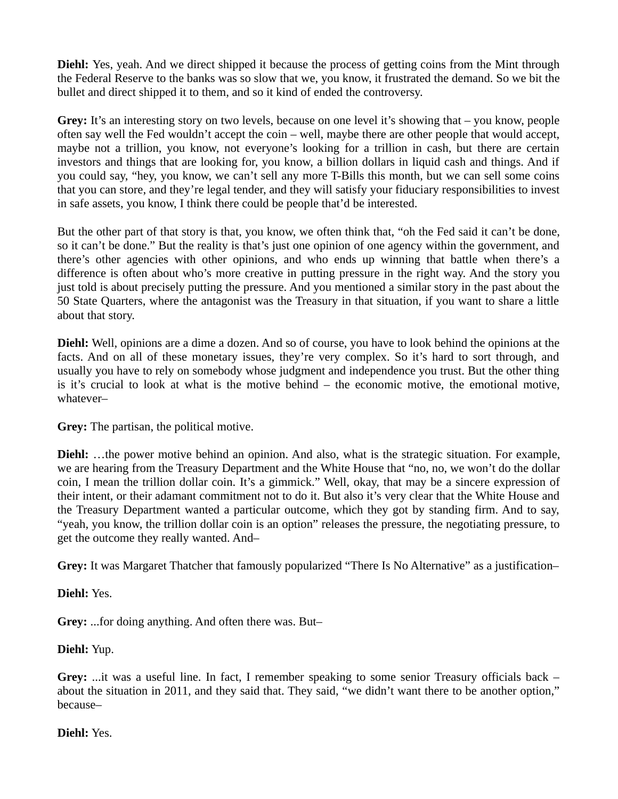**Diehl:** Yes, yeah. And we direct shipped it because the process of getting coins from the Mint through the Federal Reserve to the banks was so slow that we, you know, it frustrated the demand. So we bit the bullet and direct shipped it to them, and so it kind of ended the controversy.

**Grey:** It's an interesting story on two levels, because on one level it's showing that – you know, people often say well the Fed wouldn't accept the coin – well, maybe there are other people that would accept, maybe not a trillion, you know, not everyone's looking for a trillion in cash, but there are certain investors and things that are looking for, you know, a billion dollars in liquid cash and things. And if you could say, "hey, you know, we can't sell any more T-Bills this month, but we can sell some coins that you can store, and they're legal tender, and they will satisfy your fiduciary responsibilities to invest in safe assets, you know, I think there could be people that'd be interested.

But the other part of that story is that, you know, we often think that, "oh the Fed said it can't be done, so it can't be done." But the reality is that's just one opinion of one agency within the government, and there's other agencies with other opinions, and who ends up winning that battle when there's a difference is often about who's more creative in putting pressure in the right way. And the story you just told is about precisely putting the pressure. And you mentioned a similar story in the past about the 50 State Quarters, where the antagonist was the Treasury in that situation, if you want to share a little about that story.

**Diehl:** Well, opinions are a dime a dozen. And so of course, you have to look behind the opinions at the facts. And on all of these monetary issues, they're very complex. So it's hard to sort through, and usually you have to rely on somebody whose judgment and independence you trust. But the other thing is it's crucial to look at what is the motive behind – the economic motive, the emotional motive, whatever–

**Grey:** The partisan, the political motive.

**Diehl:** …the power motive behind an opinion. And also, what is the strategic situation. For example, we are hearing from the Treasury Department and the White House that "no, no, we won't do the dollar coin, I mean the trillion dollar coin. It's a gimmick." Well, okay, that may be a sincere expression of their intent, or their adamant commitment not to do it. But also it's very clear that the White House and the Treasury Department wanted a particular outcome, which they got by standing firm. And to say, "yeah, you know, the trillion dollar coin is an option" releases the pressure, the negotiating pressure, to get the outcome they really wanted. And–

**Grey:** It was Margaret Thatcher that famously popularized "There Is No Alternative" as a justification–

**Diehl:** Yes.

**Grey:** ...for doing anything. And often there was. But–

**Diehl:** Yup.

**Grey:** ...it was a useful line. In fact, I remember speaking to some senior Treasury officials back – about the situation in 2011, and they said that. They said, "we didn't want there to be another option," because–

#### **Diehl:** Yes.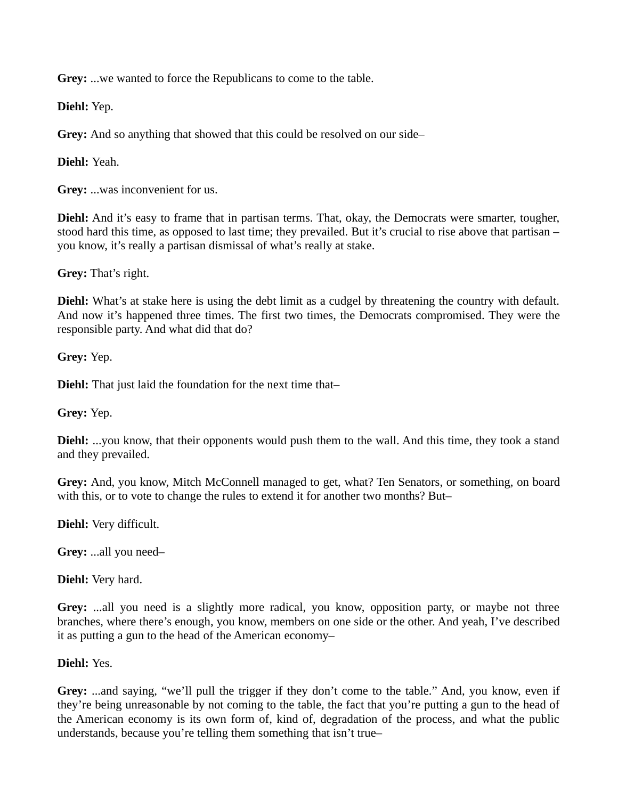**Grey:** ...we wanted to force the Republicans to come to the table.

**Diehl:** Yep.

**Grey:** And so anything that showed that this could be resolved on our side–

**Diehl:** Yeah.

**Grey:** ...was inconvenient for us.

**Diehl:** And it's easy to frame that in partisan terms. That, okay, the Democrats were smarter, tougher, stood hard this time, as opposed to last time; they prevailed. But it's crucial to rise above that partisan – you know, it's really a partisan dismissal of what's really at stake.

**Grey:** That's right.

**Diehl:** What's at stake here is using the debt limit as a cudgel by threatening the country with default. And now it's happened three times. The first two times, the Democrats compromised. They were the responsible party. And what did that do?

**Grey:** Yep.

**Diehl:** That just laid the foundation for the next time that–

**Grey:** Yep.

**Diehl:** ...you know, that their opponents would push them to the wall. And this time, they took a stand and they prevailed.

**Grey:** And, you know, Mitch McConnell managed to get, what? Ten Senators, or something, on board with this, or to vote to change the rules to extend it for another two months? But–

**Diehl:** Very difficult.

**Grey:** ...all you need–

**Diehl:** Very hard.

**Grey:** ...all you need is a slightly more radical, you know, opposition party, or maybe not three branches, where there's enough, you know, members on one side or the other. And yeah, I've described it as putting a gun to the head of the American economy–

#### **Diehl:** Yes.

**Grey:** ...and saying, "we'll pull the trigger if they don't come to the table." And, you know, even if they're being unreasonable by not coming to the table, the fact that you're putting a gun to the head of the American economy is its own form of, kind of, degradation of the process, and what the public understands, because you're telling them something that isn't true–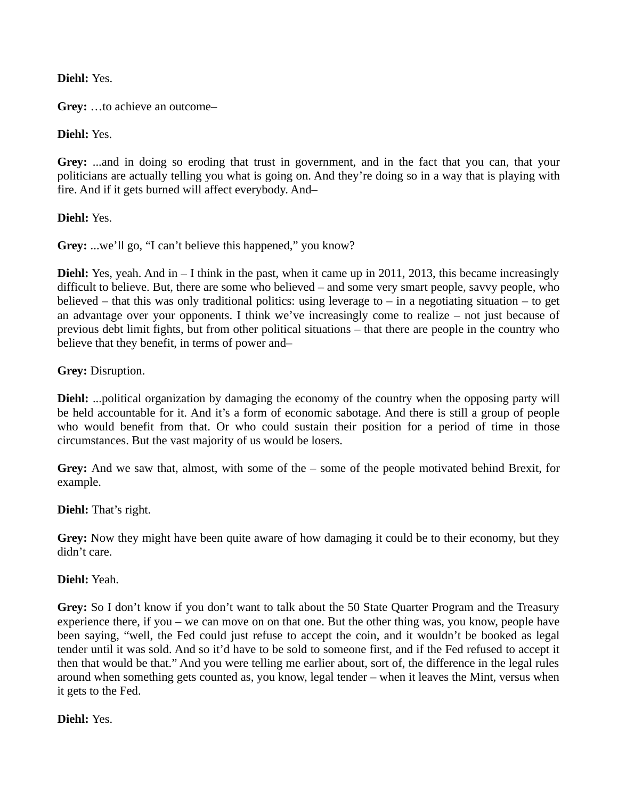**Diehl:** Yes.

**Grey:** …to achieve an outcome–

**Diehl:** Yes.

**Grey:** ...and in doing so eroding that trust in government, and in the fact that you can, that your politicians are actually telling you what is going on. And they're doing so in a way that is playing with fire. And if it gets burned will affect everybody. And–

**Diehl:** Yes.

**Grey:** ...we'll go, "I can't believe this happened," you know?

**Diehl:** Yes, yeah. And in – I think in the past, when it came up in 2011, 2013, this became increasingly difficult to believe. But, there are some who believed – and some very smart people, savvy people, who believed – that this was only traditional politics: using leverage to – in a negotiating situation – to get an advantage over your opponents. I think we've increasingly come to realize – not just because of previous debt limit fights, but from other political situations – that there are people in the country who believe that they benefit, in terms of power and–

**Grey:** Disruption.

**Diehl:** ...political organization by damaging the economy of the country when the opposing party will be held accountable for it. And it's a form of economic sabotage. And there is still a group of people who would benefit from that. Or who could sustain their position for a period of time in those circumstances. But the vast majority of us would be losers.

Grey: And we saw that, almost, with some of the – some of the people motivated behind Brexit, for example.

**Diehl:** That's right.

Grey: Now they might have been quite aware of how damaging it could be to their economy, but they didn't care.

**Diehl:** Yeah.

**Grey:** So I don't know if you don't want to talk about the 50 State Quarter Program and the Treasury experience there, if you – we can move on on that one. But the other thing was, you know, people have been saying, "well, the Fed could just refuse to accept the coin, and it wouldn't be booked as legal tender until it was sold. And so it'd have to be sold to someone first, and if the Fed refused to accept it then that would be that." And you were telling me earlier about, sort of, the difference in the legal rules around when something gets counted as, you know, legal tender – when it leaves the Mint, versus when it gets to the Fed.

**Diehl:** Yes.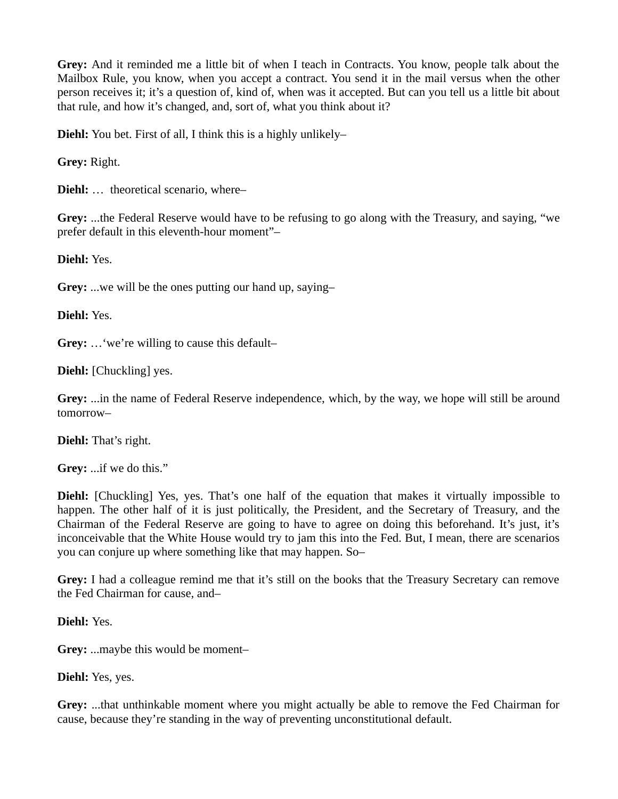**Grey:** And it reminded me a little bit of when I teach in Contracts. You know, people talk about the Mailbox Rule, you know, when you accept a contract. You send it in the mail versus when the other person receives it; it's a question of, kind of, when was it accepted. But can you tell us a little bit about that rule, and how it's changed, and, sort of, what you think about it?

**Diehl:** You bet. First of all, I think this is a highly unlikely–

**Grey:** Right.

**Diehl:** … theoretical scenario, where–

**Grey:** ...the Federal Reserve would have to be refusing to go along with the Treasury, and saying, "we prefer default in this eleventh-hour moment"–

**Diehl:** Yes.

**Grey:** ...we will be the ones putting our hand up, saying–

**Diehl:** Yes.

**Grey:** …'we're willing to cause this default–

**Diehl:** [Chuckling] yes.

**Grey:** ...in the name of Federal Reserve independence, which, by the way, we hope will still be around tomorrow–

**Diehl:** That's right.

**Grey:** ...if we do this."

**Diehl:** [Chuckling] Yes, yes. That's one half of the equation that makes it virtually impossible to happen. The other half of it is just politically, the President, and the Secretary of Treasury, and the Chairman of the Federal Reserve are going to have to agree on doing this beforehand. It's just, it's inconceivable that the White House would try to jam this into the Fed. But, I mean, there are scenarios you can conjure up where something like that may happen. So–

**Grey:** I had a colleague remind me that it's still on the books that the Treasury Secretary can remove the Fed Chairman for cause, and–

**Diehl:** Yes.

**Grey:** ...maybe this would be moment–

**Diehl:** Yes, yes.

**Grey:** ...that unthinkable moment where you might actually be able to remove the Fed Chairman for cause, because they're standing in the way of preventing unconstitutional default.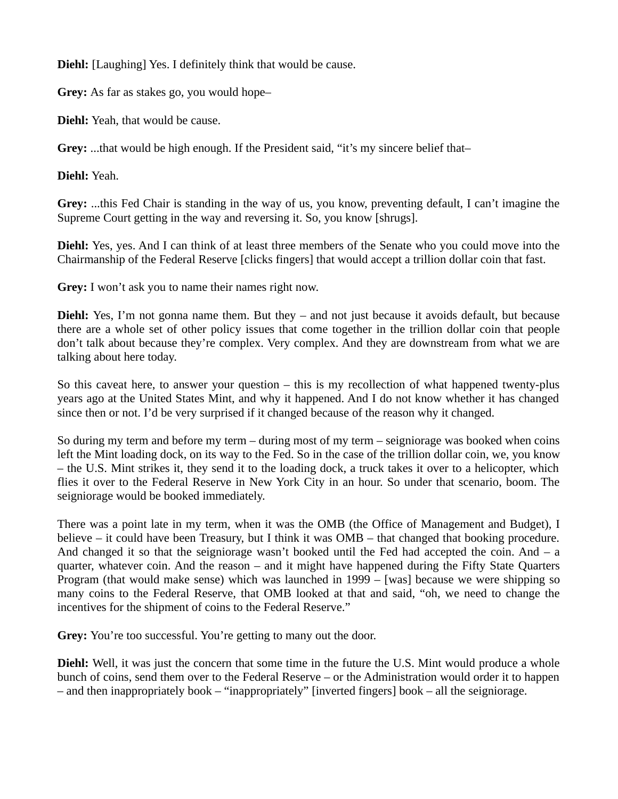**Diehl:** [Laughing] Yes. I definitely think that would be cause.

**Grey:** As far as stakes go, you would hope–

**Diehl:** Yeah, that would be cause.

**Grey:** ...that would be high enough. If the President said, "it's my sincere belief that–

**Diehl:** Yeah.

**Grey:** ...this Fed Chair is standing in the way of us, you know, preventing default, I can't imagine the Supreme Court getting in the way and reversing it. So, you know [shrugs].

**Diehl:** Yes, yes. And I can think of at least three members of the Senate who you could move into the Chairmanship of the Federal Reserve [clicks fingers] that would accept a trillion dollar coin that fast.

**Grey:** I won't ask you to name their names right now.

**Diehl:** Yes, I'm not gonna name them. But they – and not just because it avoids default, but because there are a whole set of other policy issues that come together in the trillion dollar coin that people don't talk about because they're complex. Very complex. And they are downstream from what we are talking about here today.

So this caveat here, to answer your question – this is my recollection of what happened twenty-plus years ago at the United States Mint, and why it happened. And I do not know whether it has changed since then or not. I'd be very surprised if it changed because of the reason why it changed.

So during my term and before my term – during most of my term – seigniorage was booked when coins left the Mint loading dock, on its way to the Fed. So in the case of the trillion dollar coin, we, you know – the U.S. Mint strikes it, they send it to the loading dock, a truck takes it over to a helicopter, which flies it over to the Federal Reserve in New York City in an hour. So under that scenario, boom. The seigniorage would be booked immediately.

There was a point late in my term, when it was the OMB (the Office of Management and Budget), I believe – it could have been Treasury, but I think it was OMB – that changed that booking procedure. And changed it so that the seigniorage wasn't booked until the Fed had accepted the coin. And  $-$  a quarter, whatever coin. And the reason – and it might have happened during the Fifty State Quarters Program (that would make sense) which was launched in 1999 – [was] because we were shipping so many coins to the Federal Reserve, that OMB looked at that and said, "oh, we need to change the incentives for the shipment of coins to the Federal Reserve."

Grey: You're too successful. You're getting to many out the door.

**Diehl:** Well, it was just the concern that some time in the future the U.S. Mint would produce a whole bunch of coins, send them over to the Federal Reserve – or the Administration would order it to happen – and then inappropriately book – "inappropriately" [inverted fingers] book – all the seigniorage.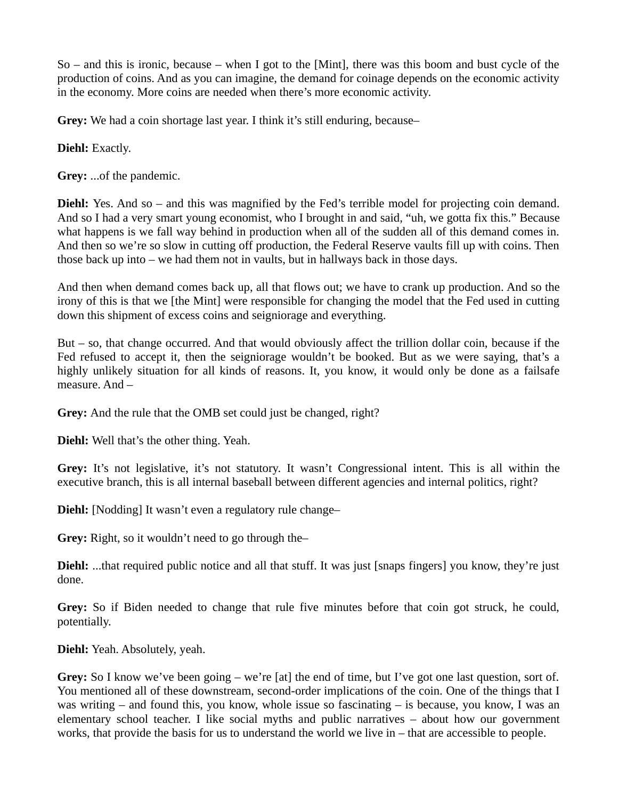So – and this is ironic, because – when I got to the [Mint], there was this boom and bust cycle of the production of coins. And as you can imagine, the demand for coinage depends on the economic activity in the economy. More coins are needed when there's more economic activity.

**Grey:** We had a coin shortage last year. I think it's still enduring, because–

**Diehl:** Exactly.

**Grey:** ...of the pandemic.

**Diehl:** Yes. And so – and this was magnified by the Fed's terrible model for projecting coin demand. And so I had a very smart young economist, who I brought in and said, "uh, we gotta fix this." Because what happens is we fall way behind in production when all of the sudden all of this demand comes in. And then so we're so slow in cutting off production, the Federal Reserve vaults fill up with coins. Then those back up into – we had them not in vaults, but in hallways back in those days.

And then when demand comes back up, all that flows out; we have to crank up production. And so the irony of this is that we [the Mint] were responsible for changing the model that the Fed used in cutting down this shipment of excess coins and seigniorage and everything.

But – so, that change occurred. And that would obviously affect the trillion dollar coin, because if the Fed refused to accept it, then the seigniorage wouldn't be booked. But as we were saying, that's a highly unlikely situation for all kinds of reasons. It, you know, it would only be done as a failsafe measure. And –

**Grey:** And the rule that the OMB set could just be changed, right?

**Diehl:** Well that's the other thing. Yeah.

**Grey:** It's not legislative, it's not statutory. It wasn't Congressional intent. This is all within the executive branch, this is all internal baseball between different agencies and internal politics, right?

**Diehl:** [Nodding] It wasn't even a regulatory rule change–

**Grey:** Right, so it wouldn't need to go through the–

**Diehl:** ...that required public notice and all that stuff. It was just [snaps fingers] you know, they're just done.

**Grey:** So if Biden needed to change that rule five minutes before that coin got struck, he could, potentially.

**Diehl:** Yeah. Absolutely, yeah.

**Grey:** So I know we've been going – we're [at] the end of time, but I've got one last question, sort of. You mentioned all of these downstream, second-order implications of the coin. One of the things that I was writing – and found this, you know, whole issue so fascinating – is because, you know, I was an elementary school teacher. I like social myths and public narratives – about how our government works, that provide the basis for us to understand the world we live in – that are accessible to people.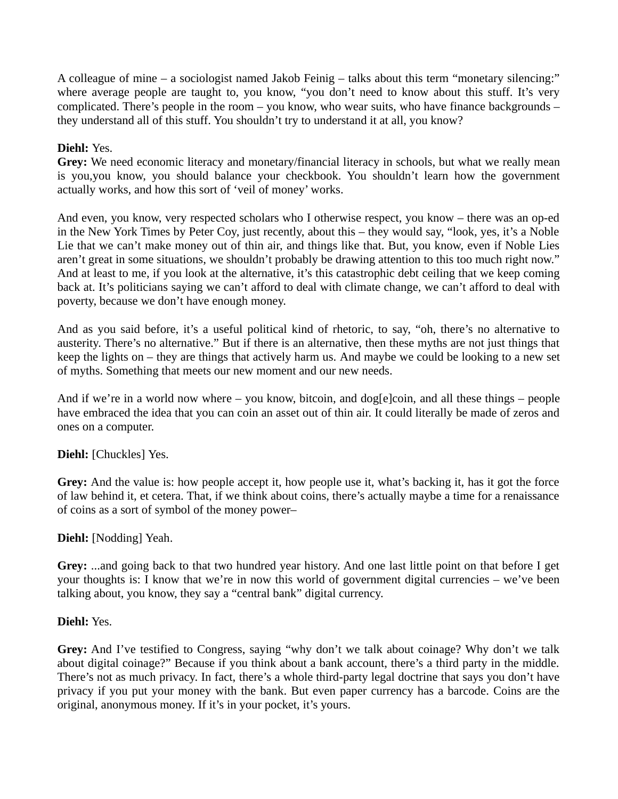A colleague of mine – a sociologist named Jakob Feinig – talks about this term "monetary silencing:" where average people are taught to, you know, "you don't need to know about this stuff. It's very complicated. There's people in the room – you know, who wear suits, who have finance backgrounds – they understand all of this stuff. You shouldn't try to understand it at all, you know?

# **Diehl:** Yes.

**Grey:** We need economic literacy and monetary/financial literacy in schools, but what we really mean is you,you know, you should balance your checkbook. You shouldn't learn how the government actually works, and how this sort of 'veil of money' works.

And even, you know, very respected scholars who I otherwise respect, you know – there was an op-ed in the New York Times by Peter Coy, just recently, about this – they would say, "look, yes, it's a Noble Lie that we can't make money out of thin air, and things like that. But, you know, even if Noble Lies aren't great in some situations, we shouldn't probably be drawing attention to this too much right now." And at least to me, if you look at the alternative, it's this catastrophic debt ceiling that we keep coming back at. It's politicians saying we can't afford to deal with climate change, we can't afford to deal with poverty, because we don't have enough money.

And as you said before, it's a useful political kind of rhetoric, to say, "oh, there's no alternative to austerity. There's no alternative." But if there is an alternative, then these myths are not just things that keep the lights on – they are things that actively harm us. And maybe we could be looking to a new set of myths. Something that meets our new moment and our new needs.

And if we're in a world now where – you know, bitcoin, and dog[e]coin, and all these things – people have embraced the idea that you can coin an asset out of thin air. It could literally be made of zeros and ones on a computer.

# **Diehl:** [Chuckles] Yes.

**Grey:** And the value is: how people accept it, how people use it, what's backing it, has it got the force of law behind it, et cetera. That, if we think about coins, there's actually maybe a time for a renaissance of coins as a sort of symbol of the money power–

# **Diehl:** [Nodding] Yeah.

**Grey:** ...and going back to that two hundred year history. And one last little point on that before I get your thoughts is: I know that we're in now this world of government digital currencies – we've been talking about, you know, they say a "central bank" digital currency.

# **Diehl:** Yes.

**Grey:** And I've testified to Congress, saying "why don't we talk about coinage? Why don't we talk about digital coinage?" Because if you think about a bank account, there's a third party in the middle. There's not as much privacy. In fact, there's a whole third-party legal doctrine that says you don't have privacy if you put your money with the bank. But even paper currency has a barcode. Coins are the original, anonymous money. If it's in your pocket, it's yours.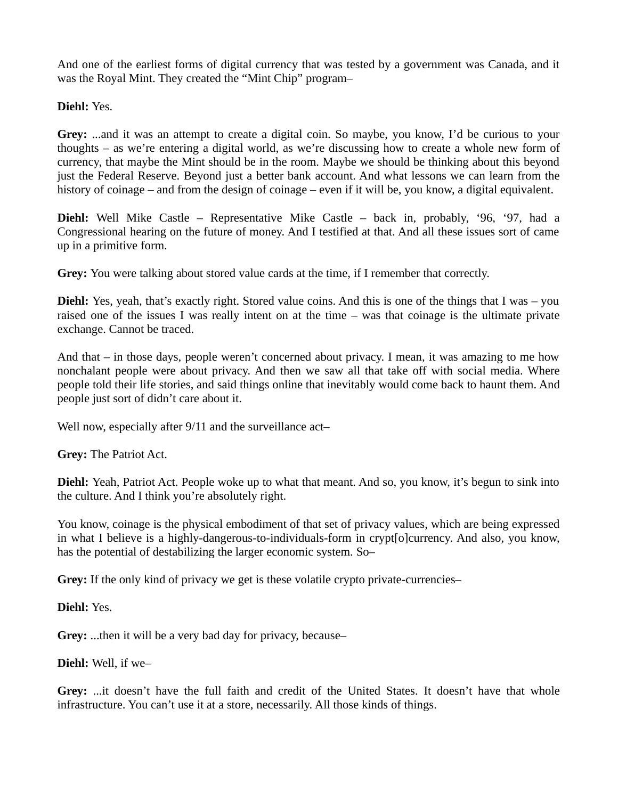And one of the earliest forms of digital currency that was tested by a government was Canada, and it was the Royal Mint. They created the "Mint Chip" program–

**Diehl:** Yes.

**Grey:** ...and it was an attempt to create a digital coin. So maybe, you know, I'd be curious to your thoughts – as we're entering a digital world, as we're discussing how to create a whole new form of currency, that maybe the Mint should be in the room. Maybe we should be thinking about this beyond just the Federal Reserve. Beyond just a better bank account. And what lessons we can learn from the history of coinage – and from the design of coinage – even if it will be, you know, a digital equivalent.

**Diehl:** Well Mike Castle – Representative Mike Castle – back in, probably, '96, '97, had a Congressional hearing on the future of money. And I testified at that. And all these issues sort of came up in a primitive form.

**Grey:** You were talking about stored value cards at the time, if I remember that correctly.

**Diehl:** Yes, yeah, that's exactly right. Stored value coins. And this is one of the things that I was – you raised one of the issues I was really intent on at the time – was that coinage is the ultimate private exchange. Cannot be traced.

And that – in those days, people weren't concerned about privacy. I mean, it was amazing to me how nonchalant people were about privacy. And then we saw all that take off with social media. Where people told their life stories, and said things online that inevitably would come back to haunt them. And people just sort of didn't care about it.

Well now, especially after 9/11 and the surveillance act-

**Grey:** The Patriot Act.

**Diehl:** Yeah, Patriot Act. People woke up to what that meant. And so, you know, it's begun to sink into the culture. And I think you're absolutely right.

You know, coinage is the physical embodiment of that set of privacy values, which are being expressed in what I believe is a highly-dangerous-to-individuals-form in crypt[o]currency. And also, you know, has the potential of destabilizing the larger economic system. So–

**Grey:** If the only kind of privacy we get is these volatile crypto private-currencies–

**Diehl:** Yes.

**Grey:** ...then it will be a very bad day for privacy, because–

**Diehl:** Well, if we–

**Grey:** ...it doesn't have the full faith and credit of the United States. It doesn't have that whole infrastructure. You can't use it at a store, necessarily. All those kinds of things.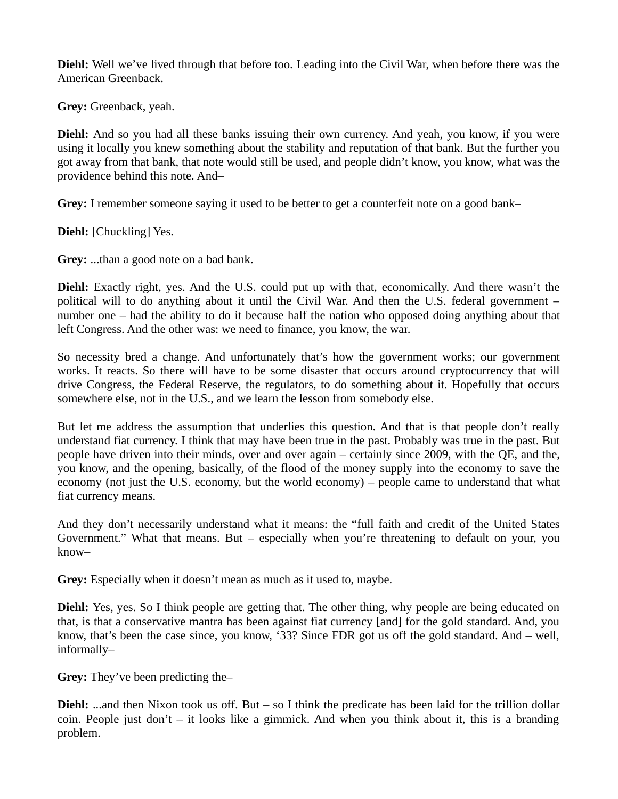**Diehl:** Well we've lived through that before too. Leading into the Civil War, when before there was the American Greenback.

**Grey:** Greenback, yeah.

**Diehl:** And so you had all these banks issuing their own currency. And yeah, you know, if you were using it locally you knew something about the stability and reputation of that bank. But the further you got away from that bank, that note would still be used, and people didn't know, you know, what was the providence behind this note. And–

**Grey:** I remember someone saying it used to be better to get a counterfeit note on a good bank–

**Diehl:** [Chuckling] Yes.

**Grey:** ...than a good note on a bad bank.

**Diehl:** Exactly right, yes. And the U.S. could put up with that, economically. And there wasn't the political will to do anything about it until the Civil War. And then the U.S. federal government – number one – had the ability to do it because half the nation who opposed doing anything about that left Congress. And the other was: we need to finance, you know, the war.

So necessity bred a change. And unfortunately that's how the government works; our government works. It reacts. So there will have to be some disaster that occurs around cryptocurrency that will drive Congress, the Federal Reserve, the regulators, to do something about it. Hopefully that occurs somewhere else, not in the U.S., and we learn the lesson from somebody else.

But let me address the assumption that underlies this question. And that is that people don't really understand fiat currency. I think that may have been true in the past. Probably was true in the past. But people have driven into their minds, over and over again – certainly since 2009, with the QE, and the, you know, and the opening, basically, of the flood of the money supply into the economy to save the economy (not just the U.S. economy, but the world economy) – people came to understand that what fiat currency means.

And they don't necessarily understand what it means: the "full faith and credit of the United States Government." What that means. But – especially when you're threatening to default on your, you know–

**Grey:** Especially when it doesn't mean as much as it used to, maybe.

**Diehl:** Yes, yes. So I think people are getting that. The other thing, why people are being educated on that, is that a conservative mantra has been against fiat currency [and] for the gold standard. And, you know, that's been the case since, you know, '33? Since FDR got us off the gold standard. And – well, informally–

**Grey:** They've been predicting the–

**Diehl:** ...and then Nixon took us off. But – so I think the predicate has been laid for the trillion dollar coin. People just don't – it looks like a gimmick. And when you think about it, this is a branding problem.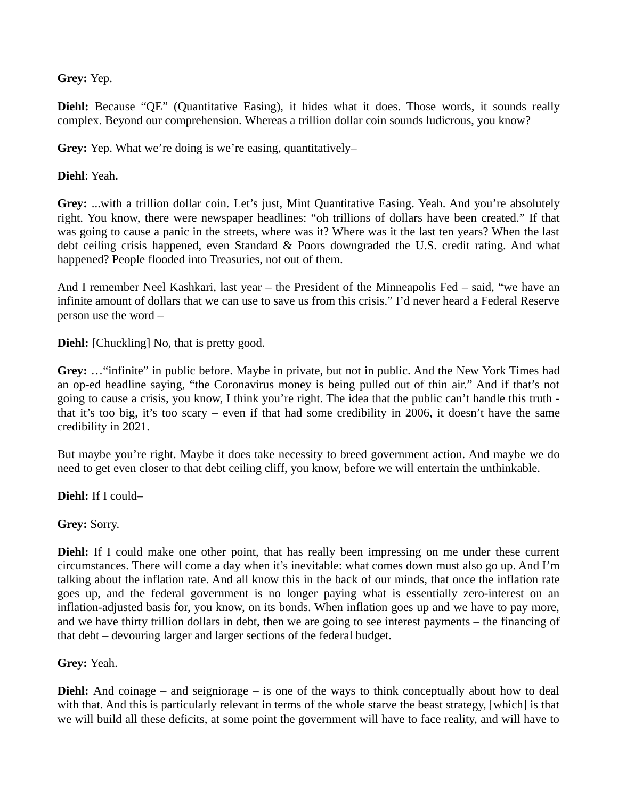**Grey:** Yep.

Diehl: Because "QE" (Quantitative Easing), it hides what it does. Those words, it sounds really complex. Beyond our comprehension. Whereas a trillion dollar coin sounds ludicrous, you know?

**Grey:** Yep. What we're doing is we're easing, quantitatively–

**Diehl**: Yeah.

**Grey:** ...with a trillion dollar coin. Let's just, Mint Quantitative Easing. Yeah. And you're absolutely right. You know, there were newspaper headlines: "oh trillions of dollars have been created." If that was going to cause a panic in the streets, where was it? Where was it the last ten years? When the last debt ceiling crisis happened, even Standard & Poors downgraded the U.S. credit rating. And what happened? People flooded into Treasuries, not out of them.

And I remember Neel Kashkari, last year – the President of the Minneapolis Fed – said, "we have an infinite amount of dollars that we can use to save us from this crisis." I'd never heard a Federal Reserve person use the word –

**Diehl:** [Chuckling] No, that is pretty good.

**Grey:** …"infinite" in public before. Maybe in private, but not in public. And the New York Times had an op-ed headline saying, "the Coronavirus money is being pulled out of thin air." And if that's not going to cause a crisis, you know, I think you're right. The idea that the public can't handle this truth that it's too big, it's too scary – even if that had some credibility in 2006, it doesn't have the same credibility in 2021.

But maybe you're right. Maybe it does take necessity to breed government action. And maybe we do need to get even closer to that debt ceiling cliff, you know, before we will entertain the unthinkable.

**Diehl:** If I could–

**Grey:** Sorry.

**Diehl:** If I could make one other point, that has really been impressing on me under these current circumstances. There will come a day when it's inevitable: what comes down must also go up. And I'm talking about the inflation rate. And all know this in the back of our minds, that once the inflation rate goes up, and the federal government is no longer paying what is essentially zero-interest on an inflation-adjusted basis for, you know, on its bonds. When inflation goes up and we have to pay more, and we have thirty trillion dollars in debt, then we are going to see interest payments – the financing of that debt – devouring larger and larger sections of the federal budget.

# **Grey:** Yeah.

**Diehl:** And coinage – and seigniorage – is one of the ways to think conceptually about how to deal with that. And this is particularly relevant in terms of the whole starve the beast strategy, [which] is that we will build all these deficits, at some point the government will have to face reality, and will have to